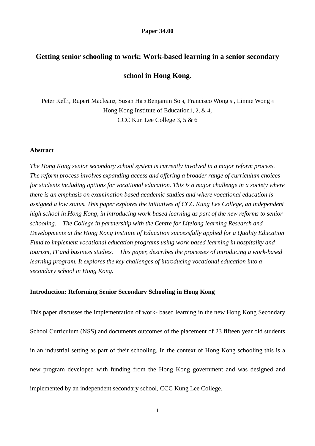#### **Paper 34.00**

# **Getting senior schooling to work: Work-based learning in a senior secondary**

# **school in Hong Kong.**

Peter Kell<sub>1</sub>, Rupert Maclean<sub>2</sub>, Susan Ha 3 Benjamin So 4, Francisco Wong 5, Linnie Wong 6 Hong Kong Institute of Education1, 2, & 4, CCC Kun Lee College 3, 5 & 6

## **Abstract**

*The Hong Kong senior secondary school system is currently involved in a major reform process. The reform process involves expanding access and offering a broader range of curriculum choices for students including options for vocational education. This is a major challenge in a society where there is an emphasis on examination based academic studies and where vocational education is assigned a low status. This paper explores the initiatives of CCC Kung Lee College, an independent high school in Hong Kong, in introducing work-based learning as part of the new reforms to senior schooling. The College in partnership with the Centre for Lifelong learning Research and Developments at the Hong Kong Institute of Education successfully applied for a Quality Education Fund to implement vocational education programs using work-based learning in hospitality and tourism, IT and business studies. This paper, describes the processes of introducing a work-based learning program. It explores the key challenges of introducing vocational education into a secondary school in Hong Kong.* 

## **Introduction: Reforming Senior Secondary Schooling in Hong Kong**

This paper discusses the implementation of work- based learning in the new Hong Kong Secondary School Curriculum (NSS) and documents outcomes of the placement of 23 fifteen year old students in an industrial setting as part of their schooling. In the context of Hong Kong schooling this is a new program developed with funding from the Hong Kong government and was designed and implemented by an independent secondary school, CCC Kung Lee College.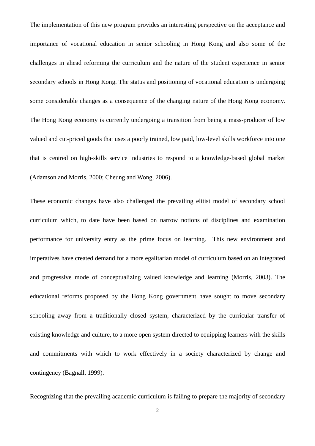The implementation of this new program provides an interesting perspective on the acceptance and importance of vocational education in senior schooling in Hong Kong and also some of the challenges in ahead reforming the curriculum and the nature of the student experience in senior secondary schools in Hong Kong. The status and positioning of vocational education is undergoing some considerable changes as a consequence of the changing nature of the Hong Kong economy. The Hong Kong economy is currently undergoing a transition from being a mass-producer of low valued and cut-priced goods that uses a poorly trained, low paid, low-level skills workforce into one that is centred on high-skills service industries to respond to a knowledge-based global market (Adamson and Morris, 2000; Cheung and Wong, 2006).

These economic changes have also challenged the prevailing elitist model of secondary school curriculum which, to date have been based on narrow notions of disciplines and examination performance for university entry as the prime focus on learning. This new environment and imperatives have created demand for a more egalitarian model of curriculum based on an integrated and progressive mode of conceptualizing valued knowledge and learning (Morris, 2003). The educational reforms proposed by the Hong Kong government have sought to move secondary schooling away from a traditionally closed system, characterized by the curricular transfer of existing knowledge and culture, to a more open system directed to equipping learners with the skills and commitments with which to work effectively in a society characterized by change and contingency (Bagnall, 1999).

Recognizing that the prevailing academic curriculum is failing to prepare the majority of secondary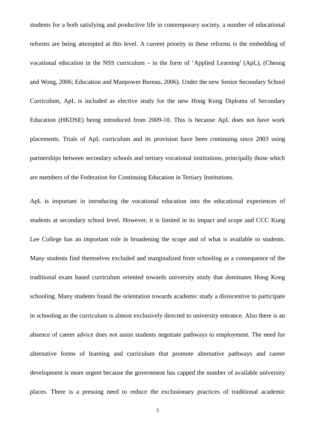students for a both satisfying and productive life in contemporary society, a number of educational reforms are being attempted at this level. A current priority in these reforms is the embedding of vocational education in the NSS curriculum – in the form of 'Applied Learning' (ApL), (Cheung and Wong, 2006; Education and Manpower Bureau, 2006). Under the new Senior Secondary School Curriculum, ApL is included as elective study for the new Hong Kong Diploma of Secondary Education (HKDSE) being introduced from 2009-10. This is because ApL does not have work placements. Trials of ApL curriculum and its provision have been continuing since 2003 using partnerships between secondary schools and tertiary vocational institutions, principally those which are members of the Federation for Continuing Education in Tertiary Institutions.

ApL is important in introducing the vocational education into the educational experiences of students at secondary school level. However, it is limited in its impact and scope and CCC Kung Lee College has an important role in broadening the scope and of what is available to students. Many students find themselves excluded and marginalized from schooling as a consequence of the traditional exam based curriculum oriented towards university study that dominates Hong Kong schooling. Many students found the orientation towards academic study a disincentive to participate in schooling as the curriculum is almost exclusively directed to university entrance. Also there is an absence of career advice does not assist students negotiate pathways to employment. The need for alternative forms of learning and curriculum that promote alternative pathways and career development is more urgent because the government has capped the number of available university places. There is a pressing need to reduce the exclusionary practices of traditional academic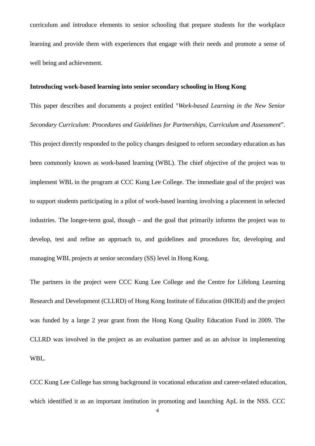curriculum and introduce elements to senior schooling that prepare students for the workplace learning and provide them with experiences that engage with their needs and promote a sense of well being and achievement.

# **Introducing work-based learning into senior secondary schooling in Hong Kong**

This paper describes and documents a project entitled "*Work-based Learning in the New Senior Secondary Curriculum: Procedures and Guidelines for Partnerships, Curriculum and Assessment*". This project directly responded to the policy changes designed to reform secondary education as has been commonly known as work-based learning (WBL). The chief objective of the project was to implement WBL in the program at CCC Kung Lee College. The immediate goal of the project was to support students participating in a pilot of work-based learning involving a placement in selected industries. The longer-term goal, though – and the goal that primarily informs the project was to develop, test and refine an approach to, and guidelines and procedures for, developing and managing WBL projects at senior secondary (SS) level in Hong Kong.

The partners in the project were CCC Kung Lee College and the Centre for Lifelong Learning Research and Development (CLLRD) of Hong Kong Institute of Education (HKIEd) and the project was funded by a large 2 year grant from the Hong Kong Quality Education Fund in 2009. The CLLRD was involved in the project as an evaluation partner and as an advisor in implementing WBL.

CCC Kung Lee College has strong background in vocational education and career-related education, which identified it as an important institution in promoting and launching ApL in the NSS. CCC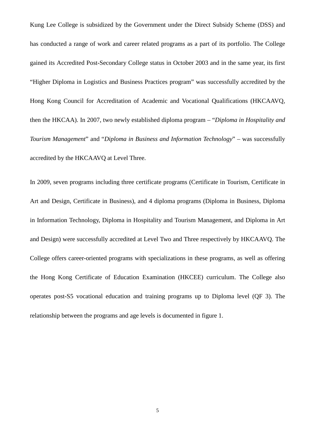Kung Lee College is subsidized by the Government under the Direct Subsidy Scheme (DSS) and has conducted a range of work and career related programs as a part of its portfolio. The College gained its Accredited Post-Secondary College status in October 2003 and in the same year, its first "Higher Diploma in Logistics and Business Practices program" was successfully accredited by the Hong Kong Council for Accreditation of Academic and Vocational Qualifications (HKCAAVQ, then the HKCAA). In 2007, two newly established diploma program – "*Diploma in Hospitality and Tourism Management*" and "*Diploma in Business and Information Technology*" – was successfully accredited by the HKCAAVQ at Level Three.

In 2009, seven programs including three certificate programs (Certificate in Tourism, Certificate in Art and Design, Certificate in Business), and 4 diploma programs (Diploma in Business, Diploma in Information Technology, Diploma in Hospitality and Tourism Management, and Diploma in Art and Design) were successfully accredited at Level Two and Three respectively by HKCAAVQ. The College offers career-oriented programs with specializations in these programs, as well as offering the Hong Kong Certificate of Education Examination (HKCEE) curriculum. The College also operates post-S5 vocational education and training programs up to Diploma level (QF 3). The relationship between the programs and age levels is documented in figure 1.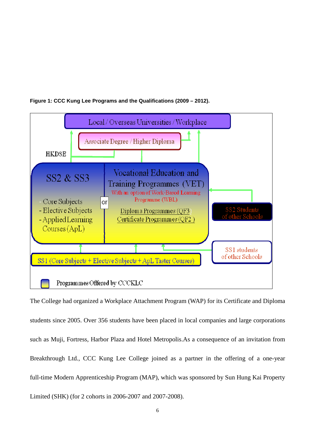



The College had organized a Workplace Attachment Program (WAP) for its Certificate and Diploma students since 2005. Over 356 students have been placed in local companies and large corporations such as Muji, Fortress, Harbor Plaza and Hotel Metropolis.As a consequence of an invitation from Breakthrough Ltd., CCC Kung Lee College joined as a partner in the offering of a one-year full-time Modern Apprenticeship Program (MAP), which was sponsored by Sun Hung Kai Property Limited (SHK) (for 2 cohorts in 2006-2007 and 2007-2008).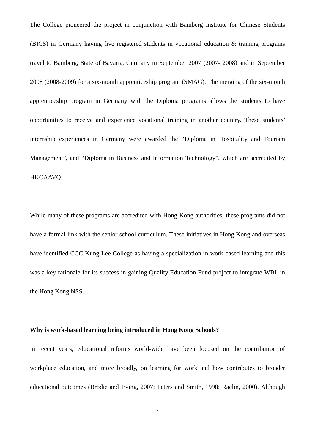The College pioneered the project in conjunction with Bamberg Institute for Chinese Students (BICS) in Germany having five registered students in vocational education & training programs travel to Bamberg, State of Bavaria, Germany in September 2007 (2007- 2008) and in September 2008 (2008-2009) for a six-month apprenticeship program (SMAG). The merging of the six-month apprenticeship program in Germany with the Diploma programs allows the students to have opportunities to receive and experience vocational training in another country. These students' internship experiences in Germany were awarded the "Diploma in Hospitality and Tourism Management", and "Diploma in Business and Information Technology", which are accredited by HKCAAVQ.

While many of these programs are accredited with Hong Kong authorities, these programs did not have a formal link with the senior school curriculum. These initiatives in Hong Kong and overseas have identified CCC Kung Lee College as having a specialization in work-based learning and this was a key rationale for its success in gaining Quality Education Fund project to integrate WBL in the Hong Kong NSS.

# **Why is work-based learning being introduced in Hong Kong Schools?**

In recent years, educational reforms world-wide have been focused on the contribution of workplace education, and more broadly, on learning for work and how contributes to broader educational outcomes (Brodie and Irving, 2007; Peters and Smith, 1998; Raelin, 2000). Although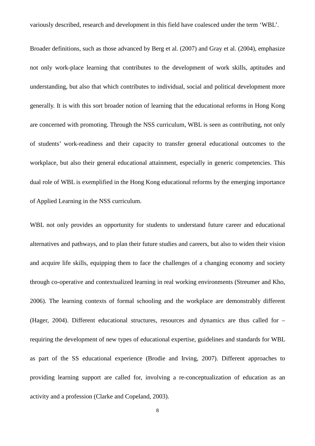variously described, research and development in this field have coalesced under the term 'WBL'.

Broader definitions, such as those advanced by Berg et al. (2007) and Gray et al. (2004), emphasize not only work-place learning that contributes to the development of work skills, aptitudes and understanding, but also that which contributes to individual, social and political development more generally. It is with this sort broader notion of learning that the educational reforms in Hong Kong are concerned with promoting. Through the NSS curriculum, WBL is seen as contributing, not only of students' work-readiness and their capacity to transfer general educational outcomes to the workplace, but also their general educational attainment, especially in generic competencies. This dual role of WBL is exemplified in the Hong Kong educational reforms by the emerging importance of Applied Learning in the NSS curriculum.

WBL not only provides an opportunity for students to understand future career and educational alternatives and pathways, and to plan their future studies and careers, but also to widen their vision and acquire life skills, equipping them to face the challenges of a changing economy and society through co-operative and contextualized learning in real working environments (Streumer and Kho, 2006). The learning contexts of formal schooling and the workplace are demonstrably different (Hager, 2004). Different educational structures, resources and dynamics are thus called for – requiring the development of new types of educational expertise, guidelines and standards for WBL as part of the SS educational experience (Brodie and Irving, 2007). Different approaches to providing learning support are called for, involving a re-conceptualization of education as an activity and a profession (Clarke and Copeland, 2003).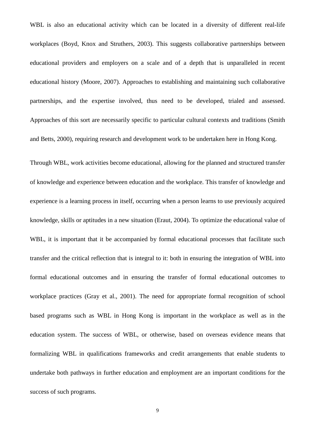WBL is also an educational activity which can be located in a diversity of different real-life workplaces (Boyd, Knox and Struthers, 2003). This suggests collaborative partnerships between educational providers and employers on a scale and of a depth that is unparalleled in recent educational history (Moore, 2007). Approaches to establishing and maintaining such collaborative partnerships, and the expertise involved, thus need to be developed, trialed and assessed. Approaches of this sort are necessarily specific to particular cultural contexts and traditions (Smith and Betts, 2000), requiring research and development work to be undertaken here in Hong Kong.

Through WBL, work activities become educational, allowing for the planned and structured transfer of knowledge and experience between education and the workplace. This transfer of knowledge and experience is a learning process in itself, occurring when a person learns to use previously acquired knowledge, skills or aptitudes in a new situation (Eraut, 2004). To optimize the educational value of WBL, it is important that it be accompanied by formal educational processes that facilitate such transfer and the critical reflection that is integral to it: both in ensuring the integration of WBL into formal educational outcomes and in ensuring the transfer of formal educational outcomes to workplace practices (Gray et al., 2001). The need for appropriate formal recognition of school based programs such as WBL in Hong Kong is important in the workplace as well as in the education system. The success of WBL, or otherwise, based on overseas evidence means that formalizing WBL in qualifications frameworks and credit arrangements that enable students to undertake both pathways in further education and employment are an important conditions for the success of such programs.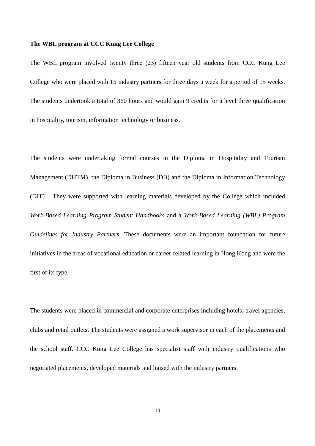# **The WBL program at CCC Kung Lee College**

The WBL program involved twenty three (23) fifteen year old students from CCC Kung Lee College who were placed with 15 industry partners for three days a week for a period of 15 weeks. The students undertook a total of 360 hours and would gain 9 credits for a level three qualification in hospitality, tourism, information technology or business.

The students were undertaking formal courses in the Diploma in Hospitality and Tourism Management (DHTM), the Diploma in Business (DB) and the Diploma in Information Technology (DIT). They were supported with learning materials developed by the College which included *Work-Based Learning Program Student Handbooks* and a *Work-Based Learning (WBL) Program Guidelines for Industry Partners*. These documents were an important foundation for future initiatives in the areas of vocational education or career-related learning in Hong Kong and were the first of its type.

The students were placed in commercial and corporate enterprises including hotels, travel agencies, clubs and retail outlets. The students were assigned a work supervisor in each of the placements and the school staff. CCC Kung Lee College has specialist staff with industry qualifications who negotiated placements, developed materials and liaised with the industry partners.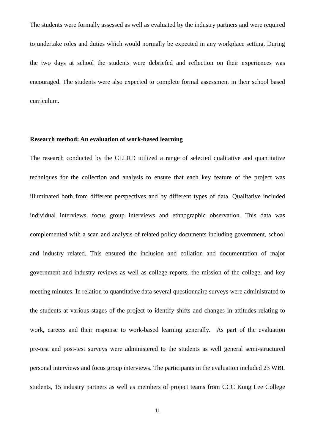The students were formally assessed as well as evaluated by the industry partners and were required to undertake roles and duties which would normally be expected in any workplace setting. During the two days at school the students were debriefed and reflection on their experiences was encouraged. The students were also expected to complete formal assessment in their school based curriculum.

# **Research method: An evaluation of work-based learning**

The research conducted by the CLLRD utilized a range of selected qualitative and quantitative techniques for the collection and analysis to ensure that each key feature of the project was illuminated both from different perspectives and by different types of data. Qualitative included individual interviews, focus group interviews and ethnographic observation. This data was complemented with a scan and analysis of related policy documents including government, school and industry related. This ensured the inclusion and collation and documentation of major government and industry reviews as well as college reports, the mission of the college, and key meeting minutes. In relation to quantitative data several questionnaire surveys were administrated to the students at various stages of the project to identify shifts and changes in attitudes relating to work, careers and their response to work-based learning generally. As part of the evaluation pre-test and post-test surveys were administered to the students as well general semi-structured personal interviews and focus group interviews. The participants in the evaluation included 23 WBL students, 15 industry partners as well as members of project teams from CCC Kung Lee College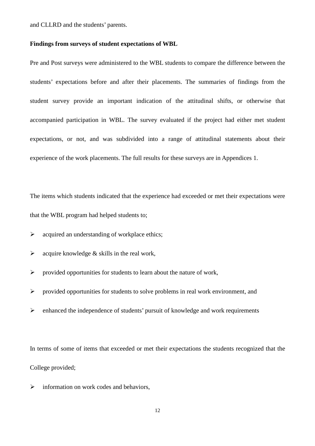and CLLRD and the students' parents.

# **Findings from surveys of student expectations of WBL**

Pre and Post surveys were administered to the WBL students to compare the difference between the students' expectations before and after their placements. The summaries of findings from the student survey provide an important indication of the attitudinal shifts, or otherwise that accompanied participation in WBL. The survey evaluated if the project had either met student expectations, or not, and was subdivided into a range of attitudinal statements about their experience of the work placements. The full results for these surveys are in Appendices 1.

The items which students indicated that the experience had exceeded or met their expectations were that the WBL program had helped students to;

 $\triangleright$  acquired an understanding of workplace ethics;

- $\triangleright$  acquire knowledge & skills in the real work,
- $\triangleright$  provided opportunities for students to learn about the nature of work,
- $\triangleright$  provided opportunities for students to solve problems in real work environment, and
- $\triangleright$  enhanced the independence of students' pursuit of knowledge and work requirements

In terms of some of items that exceeded or met their expectations the students recognized that the College provided;

 $\triangleright$  information on work codes and behaviors,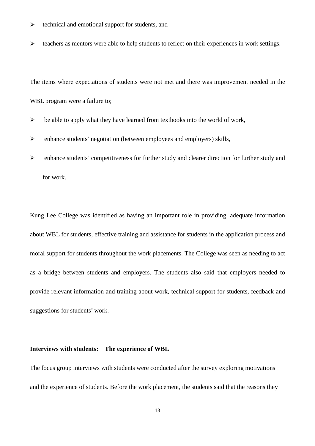- $\triangleright$  technical and emotional support for students, and
- $\triangleright$  teachers as mentors were able to help students to reflect on their experiences in work settings.

The items where expectations of students were not met and there was improvement needed in the WBL program were a failure to;

- $\triangleright$  be able to apply what they have learned from textbooks into the world of work,
- enhance students' negotiation (between employees and employers) skills,
- enhance students' competitiveness for further study and clearer direction for further study and for work.

Kung Lee College was identified as having an important role in providing, adequate information about WBL for students, effective training and assistance for students in the application process and moral support for students throughout the work placements. The College was seen as needing to act as a bridge between students and employers. The students also said that employers needed to provide relevant information and training about work, technical support for students, feedback and suggestions for students' work.

#### **Interviews with students: The experience of WBL**

The focus group interviews with students were conducted after the survey exploring motivations and the experience of students. Before the work placement, the students said that the reasons they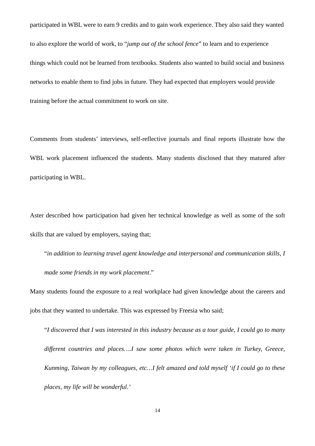participated in WBL were to earn 9 credits and to gain work experience. They also said they wanted to also explore the world of work, to "*jump out of the school fence*" to learn and to experience things which could not be learned from textbooks. Students also wanted to build social and business networks to enable them to find jobs in future. They had expected that employers would provide training before the actual commitment to work on site.

Comments from students' interviews, self-reflective journals and final reports illustrate how the WBL work placement influenced the students. Many students disclosed that they matured after participating in WBL.

Aster described how participation had given her technical knowledge as well as some of the soft skills that are valued by employers, saying that;

"*in addition to learning travel agent knowledge and interpersonal and communication skills, I made some friends in my work placement*."

Many students found the exposure to a real workplace had given knowledge about the careers and jobs that they wanted to undertake. This was expressed by Freesia who said;

"*I discovered that I was interested in this industry because as a tour guide, I could go to many different countries and places….I saw some photos which were taken in Turkey, Greece, Kunming, Taiwan by my colleagues, etc…I felt amazed and told myself 'if I could go to these places, my life will be wonderful.'*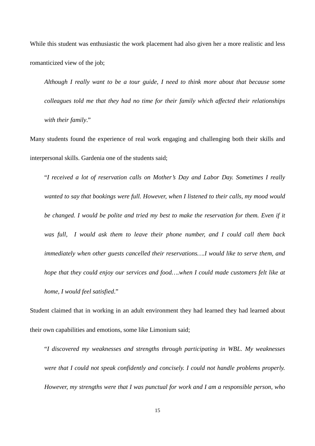While this student was enthusiastic the work placement had also given her a more realistic and less romanticized view of the job:

*Although I really want to be a tour guide, I need to think more about that because some colleagues told me that they had no time for their family which affected their relationships with their family*."

Many students found the experience of real work engaging and challenging both their skills and interpersonal skills. Gardenia one of the students said;

"*I received a lot of reservation calls on Mother's Day and Labor Day. Sometimes I really wanted to say that bookings were full. However, when I listened to their calls, my mood would*  be changed. I would be polite and tried my best to make the reservation for them. Even if it *was full, I would ask them to leave their phone number, and I could call them back immediately when other guests cancelled their reservations….I would like to serve them, and hope that they could enjoy our services and food....when I could made customers felt like at home, I would feel satisfied*."

Student claimed that in working in an adult environment they had learned they had learned about their own capabilities and emotions, some like Limonium said;

"*I discovered my weaknesses and strengths through participating in WBL. My weaknesses were that I could not speak confidently and concisely. I could not handle problems properly. However, my strengths were that I was punctual for work and I am a responsible person, who*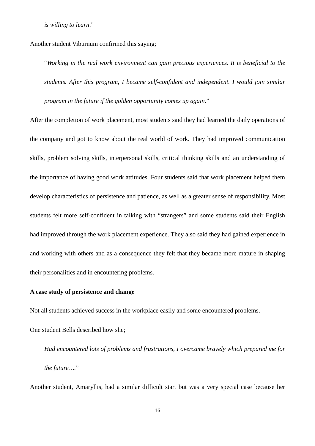*is willing to learn*."

Another student Viburnum confirmed this saying;

"*Working in the real work environment can gain precious experiences. It is beneficial to the students. After this program, I became self-confident and independent. I would join similar program in the future if the golden opportunity comes up again*."

After the completion of work placement, most students said they had learned the daily operations of the company and got to know about the real world of work. They had improved communication skills, problem solving skills, interpersonal skills, critical thinking skills and an understanding of the importance of having good work attitudes. Four students said that work placement helped them develop characteristics of persistence and patience, as well as a greater sense of responsibility. Most students felt more self-confident in talking with "strangers" and some students said their English had improved through the work placement experience. They also said they had gained experience in and working with others and as a consequence they felt that they became more mature in shaping their personalities and in encountering problems.

#### **A case study of persistence and change**

Not all students achieved success in the workplace easily and some encountered problems.

One student Bells described how she;

*Had encountered lots of problems and frustrations, I overcame bravely which prepared me for the future…*."

Another student, Amaryllis, had a similar difficult start but was a very special case because her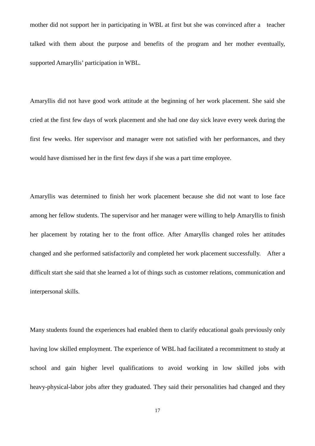mother did not support her in participating in WBL at first but she was convinced after a teacher talked with them about the purpose and benefits of the program and her mother eventually, supported Amaryllis' participation in WBL.

Amaryllis did not have good work attitude at the beginning of her work placement. She said she cried at the first few days of work placement and she had one day sick leave every week during the first few weeks. Her supervisor and manager were not satisfied with her performances, and they would have dismissed her in the first few days if she was a part time employee.

Amaryllis was determined to finish her work placement because she did not want to lose face among her fellow students. The supervisor and her manager were willing to help Amaryllis to finish her placement by rotating her to the front office. After Amaryllis changed roles her attitudes changed and she performed satisfactorily and completed her work placement successfully. After a difficult start she said that she learned a lot of things such as customer relations, communication and interpersonal skills.

Many students found the experiences had enabled them to clarify educational goals previously only having low skilled employment. The experience of WBL had facilitated a recommitment to study at school and gain higher level qualifications to avoid working in low skilled jobs with heavy-physical-labor jobs after they graduated. They said their personalities had changed and they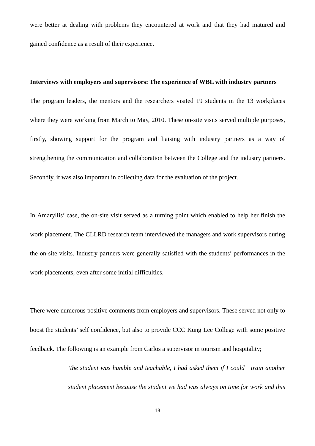were better at dealing with problems they encountered at work and that they had matured and gained confidence as a result of their experience.

#### **Interviews with employers and supervisors: The experience of WBL with industry partners**

The program leaders, the mentors and the researchers visited 19 students in the 13 workplaces where they were working from March to May, 2010. These on-site visits served multiple purposes, firstly, showing support for the program and liaising with industry partners as a way of strengthening the communication and collaboration between the College and the industry partners. Secondly, it was also important in collecting data for the evaluation of the project.

In Amaryllis' case, the on-site visit served as a turning point which enabled to help her finish the work placement. The CLLRD research team interviewed the managers and work supervisors during the on-site visits. Industry partners were generally satisfied with the students' performances in the work placements, even after some initial difficulties.

There were numerous positive comments from employers and supervisors. These served not only to boost the students' self confidence, but also to provide CCC Kung Lee College with some positive feedback. The following is an example from Carlos a supervisor in tourism and hospitality;

> *'the student was humble and teachable, I had asked them if I could train another student placement because the student we had was always on time for work and this*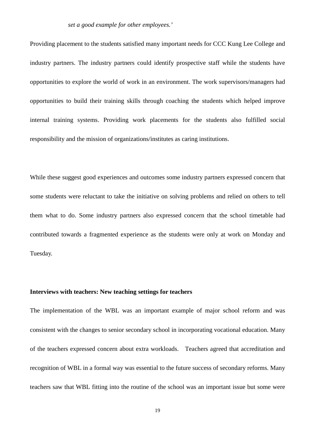# *set a good example for other employees.'*

Providing placement to the students satisfied many important needs for CCC Kung Lee College and industry partners. The industry partners could identify prospective staff while the students have opportunities to explore the world of work in an environment. The work supervisors/managers had opportunities to build their training skills through coaching the students which helped improve internal training systems. Providing work placements for the students also fulfilled social responsibility and the mission of organizations/institutes as caring institutions.

While these suggest good experiences and outcomes some industry partners expressed concern that some students were reluctant to take the initiative on solving problems and relied on others to tell them what to do. Some industry partners also expressed concern that the school timetable had contributed towards a fragmented experience as the students were only at work on Monday and Tuesday.

## **Interviews with teachers: New teaching settings for teachers**

The implementation of the WBL was an important example of major school reform and was consistent with the changes to senior secondary school in incorporating vocational education. Many of the teachers expressed concern about extra workloads. Teachers agreed that accreditation and recognition of WBL in a formal way was essential to the future success of secondary reforms. Many teachers saw that WBL fitting into the routine of the school was an important issue but some were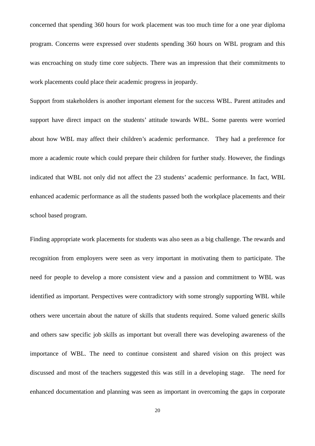concerned that spending 360 hours for work placement was too much time for a one year diploma program. Concerns were expressed over students spending 360 hours on WBL program and this was encroaching on study time core subjects. There was an impression that their commitments to work placements could place their academic progress in jeopardy.

Support from stakeholders is another important element for the success WBL. Parent attitudes and support have direct impact on the students' attitude towards WBL. Some parents were worried about how WBL may affect their children's academic performance. They had a preference for more a academic route which could prepare their children for further study. However, the findings indicated that WBL not only did not affect the 23 students' academic performance. In fact, WBL enhanced academic performance as all the students passed both the workplace placements and their school based program.

Finding appropriate work placements for students was also seen as a big challenge. The rewards and recognition from employers were seen as very important in motivating them to participate. The need for people to develop a more consistent view and a passion and commitment to WBL was identified as important. Perspectives were contradictory with some strongly supporting WBL while others were uncertain about the nature of skills that students required. Some valued generic skills and others saw specific job skills as important but overall there was developing awareness of the importance of WBL. The need to continue consistent and shared vision on this project was discussed and most of the teachers suggested this was still in a developing stage. The need for enhanced documentation and planning was seen as important in overcoming the gaps in corporate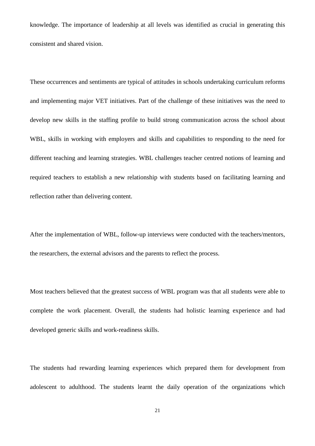knowledge. The importance of leadership at all levels was identified as crucial in generating this consistent and shared vision.

These occurrences and sentiments are typical of attitudes in schools undertaking curriculum reforms and implementing major VET initiatives. Part of the challenge of these initiatives was the need to develop new skills in the staffing profile to build strong communication across the school about WBL, skills in working with employers and skills and capabilities to responding to the need for different teaching and learning strategies. WBL challenges teacher centred notions of learning and required teachers to establish a new relationship with students based on facilitating learning and reflection rather than delivering content.

After the implementation of WBL, follow-up interviews were conducted with the teachers/mentors, the researchers, the external advisors and the parents to reflect the process.

Most teachers believed that the greatest success of WBL program was that all students were able to complete the work placement. Overall, the students had holistic learning experience and had developed generic skills and work-readiness skills.

The students had rewarding learning experiences which prepared them for development from adolescent to adulthood. The students learnt the daily operation of the organizations which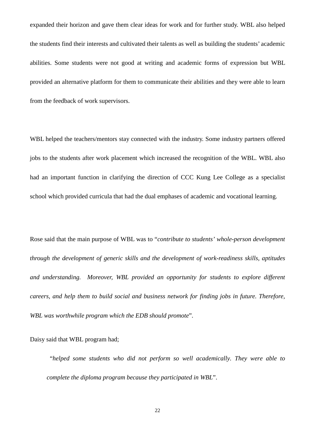expanded their horizon and gave them clear ideas for work and for further study. WBL also helped the students find their interests and cultivated their talents as well as building the students' academic abilities. Some students were not good at writing and academic forms of expression but WBL provided an alternative platform for them to communicate their abilities and they were able to learn from the feedback of work supervisors.

WBL helped the teachers/mentors stay connected with the industry. Some industry partners offered jobs to the students after work placement which increased the recognition of the WBL. WBL also had an important function in clarifying the direction of CCC Kung Lee College as a specialist school which provided curricula that had the dual emphases of academic and vocational learning.

Rose said that the main purpose of WBL was to "*contribute to students' whole-person development through the development of generic skills and the development of work-readiness skills, aptitudes and understanding. Moreover, WBL provided an opportunity for students to explore different careers, and help them to build social and business network for finding jobs in future. Therefore, WBL was worthwhile program which the EDB should promote*".

Daisy said that WBL program had;

 "*helped some students who did not perform so well academically. They were able to complete the diploma program because they participated in WBL*".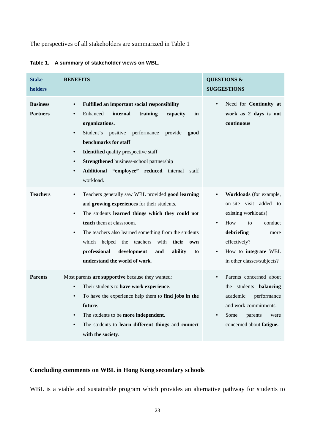The perspectives of all stakeholders are summarized in Table 1

| Stake-<br>holders                  | <b>BENEFITS</b>                                                                                                                                                                                                                                                                                                                                                                                                                                         | <b>QUESTIONS &amp;</b><br><b>SUGGESTIONS</b>                                                                                                                                                              |
|------------------------------------|---------------------------------------------------------------------------------------------------------------------------------------------------------------------------------------------------------------------------------------------------------------------------------------------------------------------------------------------------------------------------------------------------------------------------------------------------------|-----------------------------------------------------------------------------------------------------------------------------------------------------------------------------------------------------------|
| <b>Business</b><br><b>Partners</b> | <b>Fulfilled an important social responsibility</b><br>$\bullet$<br>Enhanced<br>internal<br>training<br>capacity<br>$\bullet$<br>in<br>organizations.<br>Student's<br>positive<br>performance<br>provide<br>good<br>$\bullet$<br>benchmarks for staff<br><b>Identified</b> quality prospective staff<br>$\bullet$<br>Strengthened business-school partnership<br>$\bullet$<br>Additional "employee" reduced internal<br>$\bullet$<br>staff<br>workload. | Need for Continuity at<br>$\bullet$<br>work as 2 days is not<br>continuous                                                                                                                                |
| <b>Teachers</b>                    | Teachers generally saw WBL provided good learning<br>$\bullet$<br>and growing experiences for their students.<br>The students learned things which they could not<br>$\bullet$<br>teach them at classroom.<br>The teachers also learned something from the students<br>٠<br>which helped the teachers<br>with<br>their own<br>professional<br>development<br>ability<br>and<br>to<br>understand the world of work.                                      | Workloads (for example,<br>on-site visit added to<br>existing workloads)<br>How<br>conduct<br>to<br>$\bullet$<br>debriefing<br>more<br>effectively?<br>How to integrate WBL<br>in other classes/subjects? |
| <b>Parents</b>                     | Most parents are supportive because they wanted:<br>Their students to have work experience.<br>$\bullet$<br>To have the experience help them to find jobs in the<br>$\bullet$<br>future.<br>The students to be more independent.<br>$\bullet$<br>The students to learn different things and connect<br>$\bullet$<br>with the society.                                                                                                                   | Parents concerned about<br>$\bullet$<br>the students <b>balancing</b><br>academic<br>performance<br>and work commitments.<br>Some<br>$\bullet$<br>parents<br>were<br>concerned about fatigue.             |

**Table 1. A summary of stakeholder views on WBL.** 

# **Concluding comments on WBL in Hong Kong secondary schools**

WBL is a viable and sustainable program which provides an alternative pathway for students to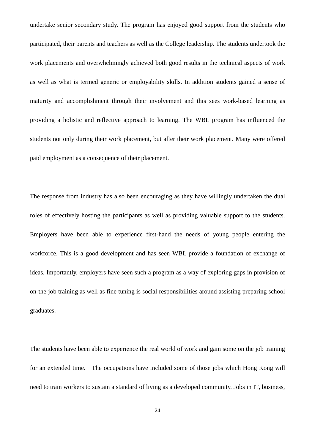undertake senior secondary study. The program has enjoyed good support from the students who participated, their parents and teachers as well as the College leadership. The students undertook the work placements and overwhelmingly achieved both good results in the technical aspects of work as well as what is termed generic or employability skills. In addition students gained a sense of maturity and accomplishment through their involvement and this sees work-based learning as providing a holistic and reflective approach to learning. The WBL program has influenced the students not only during their work placement, but after their work placement. Many were offered paid employment as a consequence of their placement.

The response from industry has also been encouraging as they have willingly undertaken the dual roles of effectively hosting the participants as well as providing valuable support to the students. Employers have been able to experience first-hand the needs of young people entering the workforce. This is a good development and has seen WBL provide a foundation of exchange of ideas. Importantly, employers have seen such a program as a way of exploring gaps in provision of on-the-job training as well as fine tuning is social responsibilities around assisting preparing school graduates.

The students have been able to experience the real world of work and gain some on the job training for an extended time. The occupations have included some of those jobs which Hong Kong will need to train workers to sustain a standard of living as a developed community. Jobs in IT, business,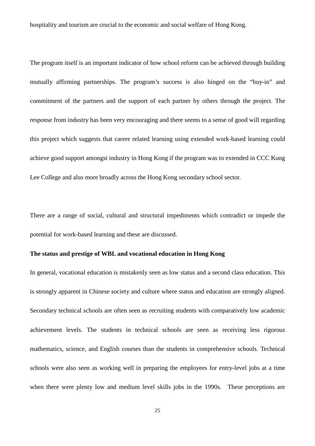hospitality and tourism are crucial to the economic and social welfare of Hong Kong.

The program itself is an important indicator of how school reform can be achieved through building mutually affirming partnerships. The program's success is also hinged on the "buy-in" and commitment of the partners and the support of each partner by others through the project. The response from industry has been very encouraging and there seems to a sense of good will regarding this project which suggests that career related learning using extended work-based learning could achieve good support amongst industry in Hong Kong if the program was to extended in CCC Kung Lee College and also more broadly across the Hong Kong secondary school sector.

There are a range of social, cultural and structural impediments which contradict or impede the potential for work-based learning and these are discussed.

# **The status and prestige of WBL and vocational education in Hong Kong**

In general, vocational education is mistakenly seen as low status and a second class education. This is strongly apparent in Chinese society and culture where status and education are strongly aligned. Secondary technical schools are often seen as recruiting students with comparatively low academic achievement levels. The students in technical schools are seen as receiving less rigorous mathematics, science, and English courses than the students in comprehensive schools. Technical schools were also seen as working well in preparing the employees for entry-level jobs at a time when there were plenty low and medium level skills jobs in the 1990s. These perceptions are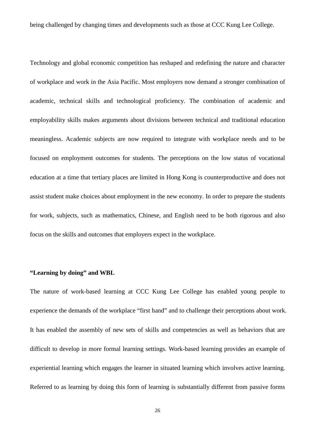being challenged by changing times and developments such as those at CCC Kung Lee College.

Technology and global economic competition has reshaped and redefining the nature and character of workplace and work in the Asia Pacific. Most employers now demand a stronger combination of academic, technical skills and technological proficiency. The combination of academic and employability skills makes arguments about divisions between technical and traditional education meaningless. Academic subjects are now required to integrate with workplace needs and to be focused on employment outcomes for students. The perceptions on the low status of vocational education at a time that tertiary places are limited in Hong Kong is counterproductive and does not assist student make choices about employment in the new economy. In order to prepare the students for work, subjects, such as mathematics, Chinese, and English need to be both rigorous and also focus on the skills and outcomes that employers expect in the workplace.

## **"Learning by doing" and WBL**

The nature of work-based learning at CCC Kung Lee College has enabled young people to experience the demands of the workplace "first hand" and to challenge their perceptions about work. It has enabled the assembly of new sets of skills and competencies as well as behaviors that are difficult to develop in more formal learning settings. Work-based learning provides an example of experiential learning which engages the learner in situated learning which involves active learning. Referred to as learning by doing this form of learning is substantially different from passive forms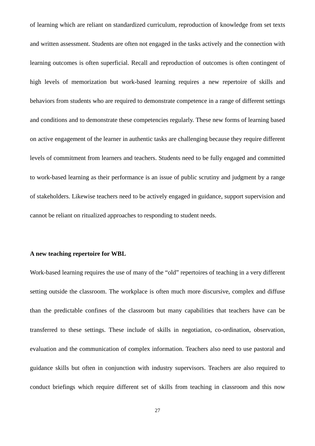of learning which are reliant on standardized curriculum, reproduction of knowledge from set texts and written assessment. Students are often not engaged in the tasks actively and the connection with learning outcomes is often superficial. Recall and reproduction of outcomes is often contingent of high levels of memorization but work-based learning requires a new repertoire of skills and behaviors from students who are required to demonstrate competence in a range of different settings and conditions and to demonstrate these competencies regularly. These new forms of learning based on active engagement of the learner in authentic tasks are challenging because they require different levels of commitment from learners and teachers. Students need to be fully engaged and committed to work-based learning as their performance is an issue of public scrutiny and judgment by a range of stakeholders. Likewise teachers need to be actively engaged in guidance, support supervision and cannot be reliant on ritualized approaches to responding to student needs.

# **A new teaching repertoire for WBL**

Work-based learning requires the use of many of the "old" repertoires of teaching in a very different setting outside the classroom. The workplace is often much more discursive, complex and diffuse than the predictable confines of the classroom but many capabilities that teachers have can be transferred to these settings. These include of skills in negotiation, co-ordination, observation, evaluation and the communication of complex information. Teachers also need to use pastoral and guidance skills but often in conjunction with industry supervisors. Teachers are also required to conduct briefings which require different set of skills from teaching in classroom and this now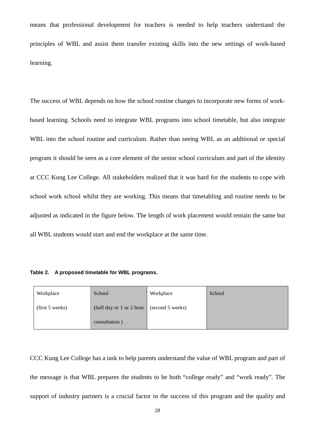means that professional development for teachers is needed to help teachers understand the principles of WBL and assist them transfer existing skills into the new settings of work-based learning.

The success of WBL depends on how the school routine changes to incorporate new forms of workbased learning. Schools need to integrate WBL programs into school timetable, but also integrate WBL into the school routine and curriculum. Rather than seeing WBL as an additional or special program it should be seen as a core element of the senior school curriculum and part of the identity at CCC Kung Lee College. All stakeholders realized that it was hard for the students to cope with school work school whilst they are working. This means that timetabling and routine needs to be adjusted as indicated in the figure below. The length of work placement would remain the same but all WBL students would start and end the workplace at the same time.

|  |  |  | Table 2. A proposed timetable for WBL programs. |
|--|--|--|-------------------------------------------------|
|--|--|--|-------------------------------------------------|

| Workplace       | School                   | Workplace        | School |
|-----------------|--------------------------|------------------|--------|
| (first 5 weeks) | (half day or 1 or 2 hour | (second 5 weeks) |        |
|                 | consultation)            |                  |        |

CCC Kung Lee College has a task to help parents understand the value of WBL program and part of the message is that WBL prepares the students to be both "college ready" and "work ready". The support of industry partners is a crucial factor in the success of this program and the quality and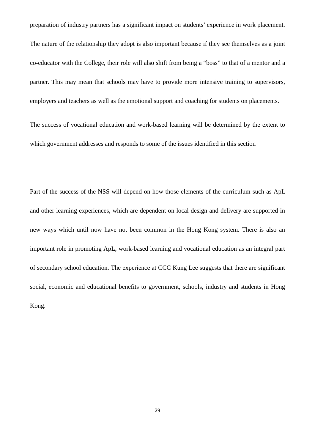preparation of industry partners has a significant impact on students' experience in work placement. The nature of the relationship they adopt is also important because if they see themselves as a joint co-educator with the College, their role will also shift from being a "boss" to that of a mentor and a partner. This may mean that schools may have to provide more intensive training to supervisors, employers and teachers as well as the emotional support and coaching for students on placements.

The success of vocational education and work-based learning will be determined by the extent to which government addresses and responds to some of the issues identified in this section

Part of the success of the NSS will depend on how those elements of the curriculum such as ApL and other learning experiences, which are dependent on local design and delivery are supported in new ways which until now have not been common in the Hong Kong system. There is also an important role in promoting ApL, work-based learning and vocational education as an integral part of secondary school education. The experience at CCC Kung Lee suggests that there are significant social, economic and educational benefits to government, schools, industry and students in Hong Kong.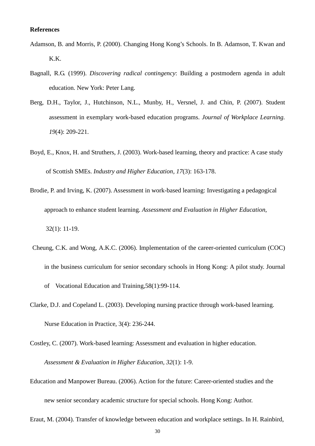#### **References**

- Adamson, B. and Morris, P. (2000). Changing Hong Kong's Schools. In B. Adamson, T. Kwan and K.K.
- Bagnall, R.G. (1999). *Discovering radical contingency*: Building a postmodern agenda in adult education. New York: Peter Lang.
- Berg, D.H., Taylor, J., Hutchinson, N.L., Munby, H., Versnel, J. and Chin, P. (2007). Student assessment in exemplary work-based education programs. *Journal of Workplace Learning. 19*(4): 209-221.
- Boyd, E., Knox, H. and Struthers, J. (2003). Work-based learning, theory and practice: A case study of Scottish SMEs. *Industry and Higher Education, 17*(3): 163-178.
- Brodie, P. and Irving, K. (2007). Assessment in work-based learning: Investigating a pedagogical approach to enhance student learning. *Assessment and Evaluation in Higher Education*, 32(1): 11-19.
- Cheung, C.K. and Wong, A.K.C. (2006). Implementation of the career-oriented curriculum (COC) in the business curriculum for senior secondary schools in Hong Kong: A pilot study. Journal of Vocational Education and Training,58(1):99-114.
- Clarke, D.J. and Copeland L. (2003). Developing nursing practice through work-based learning. Nurse Education in Practice, 3(4): 236-244.

Costley, C. (2007). Work-based learning: Assessment and evaluation in higher education. *Assessment & Evaluation in Higher Education, 32*(1): 1-9.

Education and Manpower Bureau. (2006). Action for the future: Career-oriented studies and the new senior secondary academic structure for special schools. Hong Kong: Author.

Eraut, M. (2004). Transfer of knowledge between education and workplace settings. In H. Rainbird,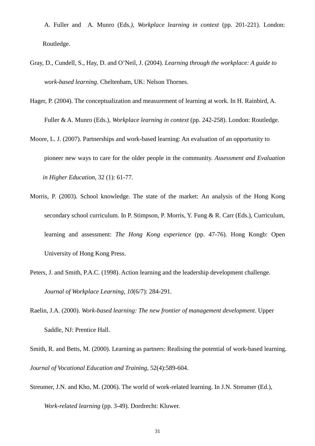A. Fuller and A. Munro (Eds*.), Workplace learning in context* (pp. 201-221). London: Routledge.

- Gray, D., Cundell, S., Hay, D. and O'Neil, J. (2004). *Learning through the workplace: A guide to work-based learning*. Cheltenham, UK: Nelson Thornes.
- Hager, P. (2004). The conceptualization and measurement of learning at work. In H. Rainbird, A. Fuller & A. Munro (Eds.), *Workplace learning in context* (pp. 242-258). London: Routledge.
- Moore, L. J. (2007). Partnerships and work-based learning: An evaluation of an opportunity to pioneer new ways to care for the older people in the community. *Assessment and Evaluation in Higher Education*, 32 (1): 61-77.
- Morris, P. (2003). School knowledge. The state of the market: An analysis of the Hong Kong secondary school curriculum. In P. Stimpson, P. Morris, Y. Fung & R. Carr (Eds.), Curriculum, learning and assessment: *The Hong Kong experience* (pp. 47-76). Hong Kongb: Open University of Hong Kong Press.
- Peters, J. and Smith, P.A.C. (1998). Action learning and the leadership development challenge. *Journal of Workplace Learning, 10*(6/7): 284-291.
- Raelin, J.A. (2000). *Work-based learning: The new frontier of management development*. Upper Saddle, NJ: Prentice Hall.
- Smith, R. and Betts, M. (2000). Learning as partners: Realising the potential of work-based learning. *Journal of Vocational Education and Training*, 52(4):589-604.
- Streumer, J.N. and Kho, M. (2006). The world of work-related learning. In J.N. Streumer (Ed.),

*Work-related learning* (pp. 3-49). Dordrecht: Kluwer.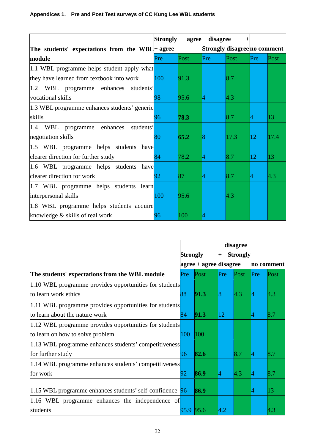# **Appendices 1. Pre and Post Test surveys of CC Kung Lee WBL students**

|                                                 | <b>Strongly</b> | agree | disagree |                              |     |      |
|-------------------------------------------------|-----------------|-------|----------|------------------------------|-----|------|
| The students' expectations from the WBL + agree |                 |       |          | Strongly disagree no comment |     |      |
| module                                          | Pre             | Post  | Pre      | Post                         | Pre | Post |
| 1.1 WBL programme helps student apply what      |                 |       |          |                              |     |      |
| they have learned from textbook into work       | 100             | 91.3  |          | $\vert 8.7 \vert$            |     |      |
| 1.2 WBL programme enhances<br>students'         |                 |       |          |                              |     |      |
| vocational skills                               | 98              | 95.6  | 4        | 4.3                          |     |      |
| 1.3 WBL programme enhances students' generic    |                 |       |          |                              |     |      |
| skills                                          | 96              | 78.3  |          | $\vert 8.7 \vert$            | 4   | 13   |
| WBL programme enhances<br>1.4<br>students'      |                 |       |          |                              |     |      |
| negotiation skills                              | 80              | 65.2  | 8        | 17.3                         | 12  | 17.4 |
| 1.5 WBL programme helps students have           |                 |       |          |                              |     |      |
| clearer direction for further study             | 84              | 78.2  | 4        | $\vert 8.7 \vert$            | 12  | 13   |
| 1.6 WBL programme helps students have           |                 |       |          |                              |     |      |
| clearer direction for work                      | 92              | 87    |          | 8.7                          | 4   | 4.3  |
| 1.7 WBL programme helps students learn          |                 |       |          |                              |     |      |
| interpersonal skills                            | 100             | 95.6  |          | 4.3                          |     |      |
| 1.8 WBL programme helps students acquire        |                 |       |          |                              |     |      |
| knowledge & skills of real work                 | 96              | 100   |          |                              |     |      |

|                                                              | Strongly  |      | disagree<br><b>Strongly</b><br>$+$ |      |            |                   |
|--------------------------------------------------------------|-----------|------|------------------------------------|------|------------|-------------------|
|                                                              |           |      |                                    |      |            |                   |
|                                                              |           |      | $ agree + agree  disagree$         |      | no comment |                   |
| The students' expectations from the WBL module               | Pre       | Post | Pre                                | Post | Pre        | Post              |
| 1.10 WBL programme provides opportunities for students       |           |      |                                    |      |            |                   |
| to learn work ethics                                         | 88        | 91.3 | 18                                 | 4.3  | 4          | $ 4.3\rangle$     |
| 1.11 WBL programme provides opportunities for students       |           |      |                                    |      |            |                   |
| to learn about the nature work                               | 84        | 91.3 | 12                                 |      |            | $\vert 8.7 \vert$ |
| 1.12 WBL programme provides opportunities for students       |           |      |                                    |      |            |                   |
| to learn on how to solve problem                             | 100       | 100  |                                    |      |            |                   |
| 1.13 WBL programme enhances students' competitiveness        |           |      |                                    |      |            |                   |
| for further study                                            | 96        | 82.6 |                                    | 8.7  |            | 8.7               |
| 1.14 WBL programme enhances students' competitiveness        |           |      |                                    |      |            |                   |
| for work                                                     | 92        | 86.9 |                                    | 4.3  | 4          | $\vert 8.7 \vert$ |
|                                                              |           |      |                                    |      |            |                   |
| $1.15$ WBL programme enhances students' self-confidence $96$ |           | 86.9 |                                    |      |            | 13                |
| 1.16 WBL programme enhances the independence of              |           |      |                                    |      |            |                   |
| students                                                     | 95.9 95.6 |      |                                    |      |            |                   |